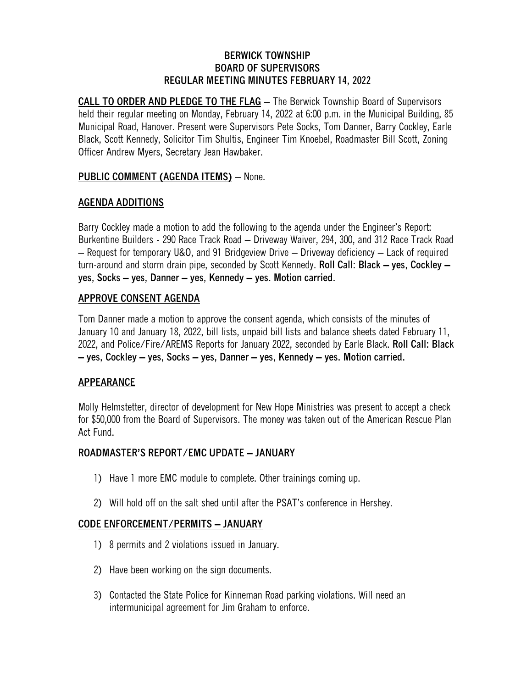#### **BERWICK TOWNSHIP BOARD OF SUPERVISORS REGULAR MEETING MINUTES FEBRUARY 14, 2022**

**CALL TO ORDER AND PLEDGE TO THE FLAG** – The Berwick Township Board of Supervisors held their regular meeting on Monday, February 14, 2022 at 6:00 p.m. in the Municipal Building, 85 Municipal Road, Hanover. Present were Supervisors Pete Socks, Tom Danner, Barry Cockley, Earle Black, Scott Kennedy, Solicitor Tim Shultis, Engineer Tim Knoebel, Roadmaster Bill Scott, Zoning Officer Andrew Myers, Secretary Jean Hawbaker.

# **PUBLIC COMMENT (AGENDA ITEMS)** – None.

## **AGENDA ADDITIONS**

Barry Cockley made a motion to add the following to the agenda under the Engineer's Report: Burkentine Builders - 290 Race Track Road – Driveway Waiver, 294, 300, and 312 Race Track Road – Request for temporary U&O, and 91 Bridgeview Drive – Driveway deficiency – Lack of required turn-around and storm drain pipe, seconded by Scott Kennedy. **Roll Call: Black – yes, Cockley – yes, Socks – yes, Danner – yes, Kennedy – yes. Motion carried.**

### **APPROVE CONSENT AGENDA**

Tom Danner made a motion to approve the consent agenda, which consists of the minutes of January 10 and January 18, 2022, bill lists, unpaid bill lists and balance sheets dated February 11, 2022, and Police/Fire/AREMS Reports for January 2022, seconded by Earle Black. **Roll Call: Black – yes, Cockley – yes, Socks – yes, Danner – yes, Kennedy – yes. Motion carried.**

# **APPEARANCE**

Molly Helmstetter, director of development for New Hope Ministries was present to accept a check for \$50,000 from the Board of Supervisors. The money was taken out of the American Rescue Plan Act Fund.

### **ROADMASTER'S REPORT/EMC UPDATE – JANUARY**

- 1) Have 1 more EMC module to complete. Other trainings coming up.
- 2) Will hold off on the salt shed until after the PSAT's conference in Hershey.

# **CODE ENFORCEMENT/PERMITS – JANUARY**

- 1) 8 permits and 2 violations issued in January.
- 2) Have been working on the sign documents.
- 3) Contacted the State Police for Kinneman Road parking violations. Will need an intermunicipal agreement for Jim Graham to enforce.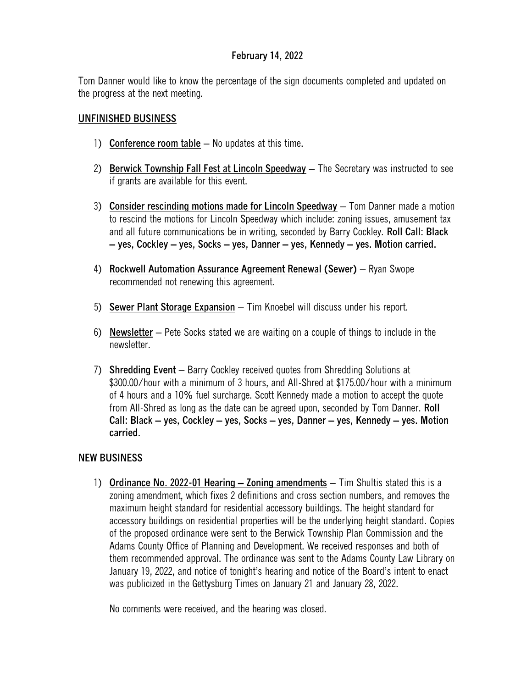Tom Danner would like to know the percentage of the sign documents completed and updated on the progress at the next meeting.

# **UNFINISHED BUSINESS**

- 1) **Conference room table** No updates at this time.
- 2) **Berwick Township Fall Fest at Lincoln Speedway** The Secretary was instructed to see if grants are available for this event.
- 3) **Consider rescinding motions made for Lincoln Speedway** Tom Danner made a motion to rescind the motions for Lincoln Speedway which include: zoning issues, amusement tax and all future communications be in writing, seconded by Barry Cockley. **Roll Call: Black – yes, Cockley – yes, Socks – yes, Danner – yes, Kennedy – yes. Motion carried.**
- 4) **Rockwell Automation Assurance Agreement Renewal (Sewer)** Ryan Swope recommended not renewing this agreement.
- 5) **Sewer Plant Storage Expansion** Tim Knoebel will discuss under his report.
- 6) **Newsletter** Pete Socks stated we are waiting on a couple of things to include in the newsletter.
- 7) **Shredding Event** Barry Cockley received quotes from Shredding Solutions at \$300.00/hour with a minimum of 3 hours, and All-Shred at \$175.00/hour with a minimum of 4 hours and a 10% fuel surcharge. Scott Kennedy made a motion to accept the quote from All-Shred as long as the date can be agreed upon, seconded by Tom Danner. **Roll Call: Black – yes, Cockley – yes, Socks – yes, Danner – yes, Kennedy – yes. Motion carried.**

# **NEW BUSINESS**

1) **Ordinance No. 2022-01 Hearing – Zoning amendments** – Tim Shultis stated this is a zoning amendment, which fixes 2 definitions and cross section numbers, and removes the maximum height standard for residential accessory buildings. The height standard for accessory buildings on residential properties will be the underlying height standard. Copies of the proposed ordinance were sent to the Berwick Township Plan Commission and the Adams County Office of Planning and Development. We received responses and both of them recommended approval. The ordinance was sent to the Adams County Law Library on January 19, 2022, and notice of tonight's hearing and notice of the Board's intent to enact was publicized in the Gettysburg Times on January 21 and January 28, 2022.

No comments were received, and the hearing was closed.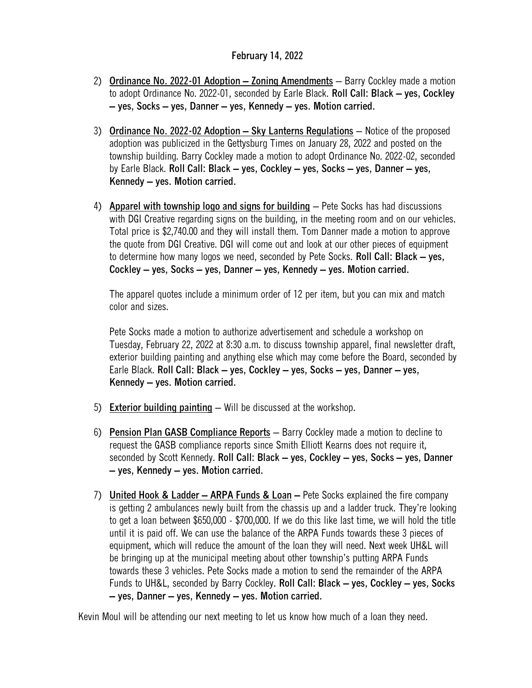- 2) **Ordinance No. 2022-01 Adoption – Zoning Amendments** Barry Cockley made a motion to adopt Ordinance No. 2022-01, seconded by Earle Black. **Roll Call: Black – yes, Cockley – yes, Socks – yes, Danner – yes, Kennedy – yes. Motion carried.**
- 3) **Ordinance No. 2022-02 Adoption – Sky Lanterns Regulations** Notice of the proposed adoption was publicized in the Gettysburg Times on January 28, 2022 and posted on the township building. Barry Cockley made a motion to adopt Ordinance No. 2022-02, seconded by Earle Black. **Roll Call: Black – yes, Cockley – yes, Socks – yes, Danner – yes, Kennedy – yes. Motion carried.**
- 4) **Apparel with township logo and signs for building** Pete Socks has had discussions with DGI Creative regarding signs on the building, in the meeting room and on our vehicles. Total price is \$2,740.00 and they will install them. Tom Danner made a motion to approve the quote from DGI Creative. DGI will come out and look at our other pieces of equipment to determine how many logos we need, seconded by Pete Socks. **Roll Call: Black – yes, Cockley – yes, Socks – yes, Danner – yes, Kennedy – yes. Motion carried.**

The apparel quotes include a minimum order of 12 per item, but you can mix and match color and sizes.

Pete Socks made a motion to authorize advertisement and schedule a workshop on Tuesday, February 22, 2022 at 8:30 a.m. to discuss township apparel, final newsletter draft, exterior building painting and anything else which may come before the Board, seconded by Earle Black. **Roll Call: Black – yes, Cockley – yes, Socks – yes, Danner – yes, Kennedy – yes. Motion carried.**

- 5) **Exterior building painting** Will be discussed at the workshop.
- 6) **Pension Plan GASB Compliance Reports** Barry Cockley made a motion to decline to request the GASB compliance reports since Smith Elliott Kearns does not require it, seconded by Scott Kennedy. **Roll Call: Black – yes, Cockley – yes, Socks – yes, Danner – yes, Kennedy – yes. Motion carried.**
- 7) **United Hook & Ladder – ARPA Funds & Loan –** Pete Socks explained the fire company is getting 2 ambulances newly built from the chassis up and a ladder truck. They're looking to get a loan between \$650,000 - \$700,000. If we do this like last time, we will hold the title until it is paid off. We can use the balance of the ARPA Funds towards these 3 pieces of equipment, which will reduce the amount of the loan they will need. Next week UH&L will be bringing up at the municipal meeting about other township's putting ARPA Funds towards these 3 vehicles. Pete Socks made a motion to send the remainder of the ARPA Funds to UH&L, seconded by Barry Cockley. **Roll Call: Black – yes, Cockley – yes, Socks – yes, Danner – yes, Kennedy – yes. Motion carried.**

Kevin Moul will be attending our next meeting to let us know how much of a loan they need.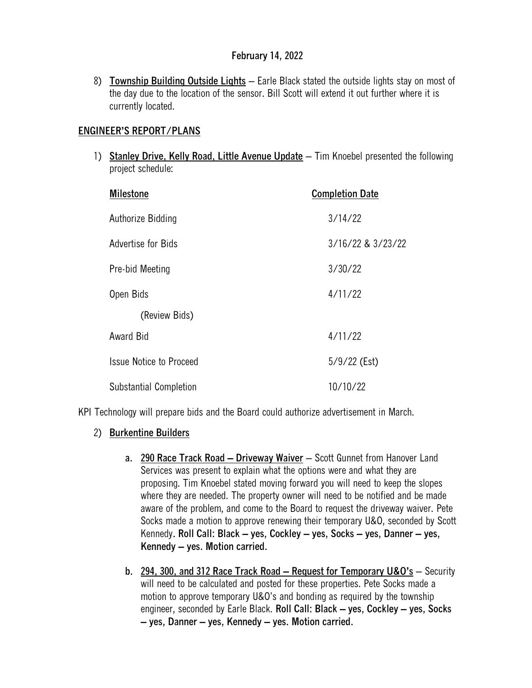8) **Township Building Outside Lights** – Earle Black stated the outside lights stay on most of the day due to the location of the sensor. Bill Scott will extend it out further where it is currently located.

## **ENGINEER'S REPORT/PLANS**

1) **Stanley Drive, Kelly Road, Little Avenue Update** – Tim Knoebel presented the following project schedule:

| <b>Milestone</b>               | <b>Completion Date</b> |
|--------------------------------|------------------------|
| Authorize Bidding              | 3/14/22                |
| Advertise for Bids             | 3/16/22 & 3/23/22      |
| Pre-bid Meeting                | 3/30/22                |
| Open Bids                      | 4/11/22                |
| (Review Bids)                  |                        |
| <b>Award Bid</b>               | 4/11/22                |
| <b>Issue Notice to Proceed</b> | $5/9/22$ (Est)         |
| Substantial Completion         | 10/10/22               |

KPI Technology will prepare bids and the Board could authorize advertisement in March.

- 2) **Burkentine Builders**
	- **a. 290 Race Track Road – Driveway Waiver** Scott Gunnet from Hanover Land Services was present to explain what the options were and what they are proposing. Tim Knoebel stated moving forward you will need to keep the slopes where they are needed. The property owner will need to be notified and be made aware of the problem, and come to the Board to request the driveway waiver. Pete Socks made a motion to approve renewing their temporary U&O, seconded by Scott Kennedy**. Roll Call: Black – yes, Cockley – yes, Socks – yes, Danner – yes, Kennedy – yes. Motion carried.**
	- **b. 294, 300, and 312 Race Track Road – Request for Temporary U&O's** Security will need to be calculated and posted for these properties. Pete Socks made a motion to approve temporary U&O's and bonding as required by the township engineer, seconded by Earle Black. **Roll Call: Black – yes, Cockley – yes, Socks – yes, Danner – yes, Kennedy – yes. Motion carried.**